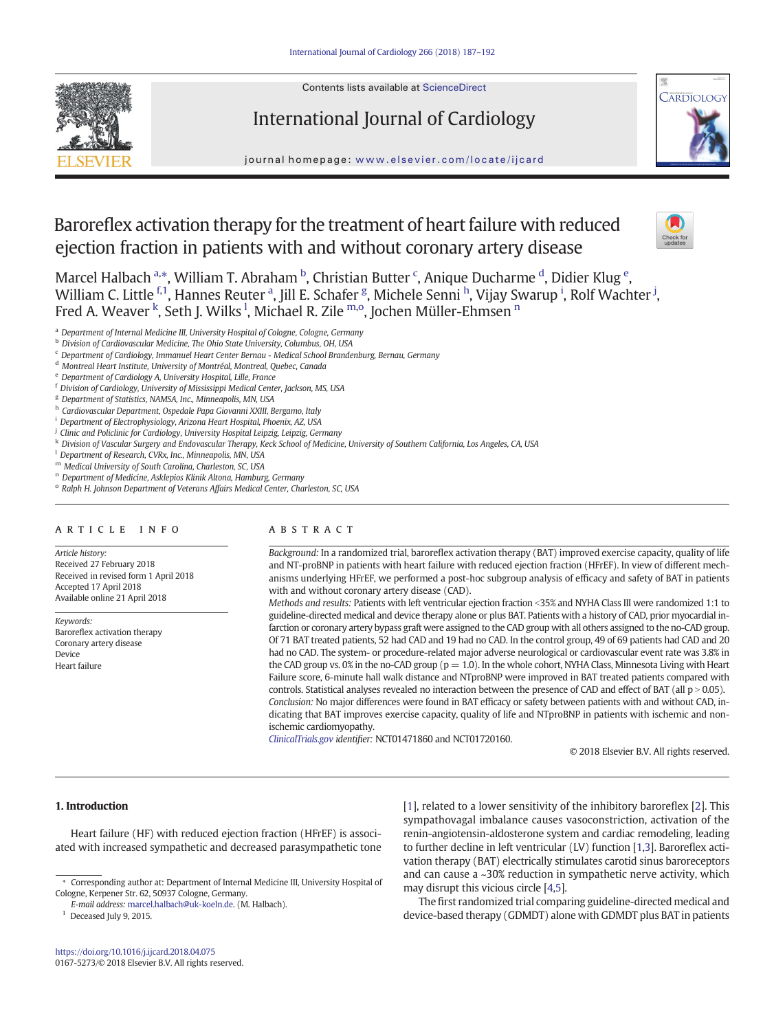

# International Journal of Cardiology



journal homepage: <www.elsevier.com/locate/ijcard>

# Baroreflex activation therapy for the treatment of heart failure with reduced ejection fraction in patients with and without coronary artery disease



Marcel Halbach a.\*, William T. Abraham <sup>b</sup>, Christian Butter <sup>c</sup>, Anique Ducharme <sup>d</sup>, Didier Klug <sup>e</sup>, William C. Little <sup>f,1</sup>, Hannes Reuter <sup>a</sup>, Jill E. Schafer <sup>g</sup>, Michele Senni <sup>h</sup>, Vijay Swarup <sup>i</sup>, Rolf Wachter <sup>j</sup>, Fred A. Weaver <sup>k</sup>, Seth J. Wilks <sup>1</sup>, Michael R. Zile <sup>m,o</sup>, Jochen Müller-Ehmsen <sup>n</sup>

<sup>a</sup> Department of Internal Medicine III, University Hospital of Cologne, Cologne, Germany

- <sup>b</sup> Division of Cardiovascular Medicine, The Ohio State University, Columbus, OH, USA
- <sup>c</sup> Department of Cardiology, Immanuel Heart Center Bernau Medical School Brandenburg, Bernau, Germany
- <sup>d</sup> Montreal Heart Institute, University of Montréal, Montreal, Quebec, Canada
- <sup>e</sup> Department of Cardiology A, University Hospital, Lille, France
- <sup>f</sup> Division of Cardiology, University of Mississippi Medical Center, Jackson, MS, USA
- <sup>g</sup> Department of Statistics, NAMSA, Inc., Minneapolis, MN, USA
- h Cardiovascular Department, Ospedale Papa Giovanni XXIII, Bergamo, Italy
- <sup>i</sup> Department of Electrophysiology, Arizona Heart Hospital, Phoenix, AZ, USA
- <sup>j</sup> Clinic and Policlinic for Cardiology, University Hospital Leipzig, Leipzig, Germany
- <sup>k</sup> Division of Vascular Surgery and Endovascular Therapy, Keck School of Medicine, University of Southern California, Los Angeles, CA, USA

<sup>1</sup> Department of Research, CVRx, Inc., Minneapolis, MN, USA

<sup>m</sup> Medical University of South Carolina, Charleston, SC, USA

- <sup>n</sup> Department of Medicine, Asklepios Klinik Altona, Hamburg, Germany
- <sup>o</sup> Ralph H. Johnson Department of Veterans Affairs Medical Center, Charleston, SC, USA

# article info abstract

Article history: Received 27 February 2018 Received in revised form 1 April 2018 Accepted 17 April 2018 Available online 21 April 2018

Keywords: Baroreflex activation therapy Coronary artery disease Device Heart failure

Background: In a randomized trial, baroreflex activation therapy (BAT) improved exercise capacity, quality of life and NT-proBNP in patients with heart failure with reduced ejection fraction (HFrEF). In view of different mechanisms underlying HFrEF, we performed a post-hoc subgroup analysis of efficacy and safety of BAT in patients with and without coronary artery disease (CAD).

Methods and results: Patients with left ventricular ejection fraction <35% and NYHA Class III were randomized 1:1 to guideline-directed medical and device therapy alone or plus BAT. Patients with a history of CAD, prior myocardial infarction or coronary artery bypass graft were assigned to the CAD group with all others assigned to the no-CAD group. Of 71 BAT treated patients, 52 had CAD and 19 had no CAD. In the control group, 49 of 69 patients had CAD and 20 had no CAD. The system- or procedure-related major adverse neurological or cardiovascular event rate was 3.8% in the CAD group vs. 0% in the no-CAD group ( $p = 1.0$ ). In the whole cohort, NYHA Class, Minnesota Living with Heart Failure score, 6-minute hall walk distance and NTproBNP were improved in BAT treated patients compared with controls. Statistical analyses revealed no interaction between the presence of CAD and effect of BAT (all  $p > 0.05$ ). Conclusion: No major differences were found in BAT efficacy or safety between patients with and without CAD, indicating that BAT improves exercise capacity, quality of life and NTproBNP in patients with ischemic and nonischemic cardiomyopathy.

[ClinicalTrials.gov](http://ClinicalTrials.gov) identifier: NCT01471860 and NCT01720160.

© 2018 Elsevier B.V. All rights reserved.

# 1. Introduction

Heart failure (HF) with reduced ejection fraction (HFrEF) is associated with increased sympathetic and decreased parasympathetic tone

 $^1$  Deceased July 9, 2015.

[\[1\]](#page-5-0), related to a lower sensitivity of the inhibitory baroreflex [\[2\]](#page-5-0). This sympathovagal imbalance causes vasoconstriction, activation of the renin-angiotensin-aldosterone system and cardiac remodeling, leading to further decline in left ventricular (LV) function [\[1,3\]](#page-5-0). Baroreflex activation therapy (BAT) electrically stimulates carotid sinus baroreceptors and can cause a ~30% reduction in sympathetic nerve activity, which may disrupt this vicious circle [\[4,5\]](#page-5-0).

The first randomized trial comparing guideline-directed medical and device-based therapy (GDMDT) alone with GDMDT plus BAT in patients

<sup>⁎</sup> Corresponding author at: Department of Internal Medicine III, University Hospital of Cologne, Kerpener Str. 62, 50937 Cologne, Germany.

E-mail address: <marcel.halbach@uk-koeln.de>. (M. Halbach).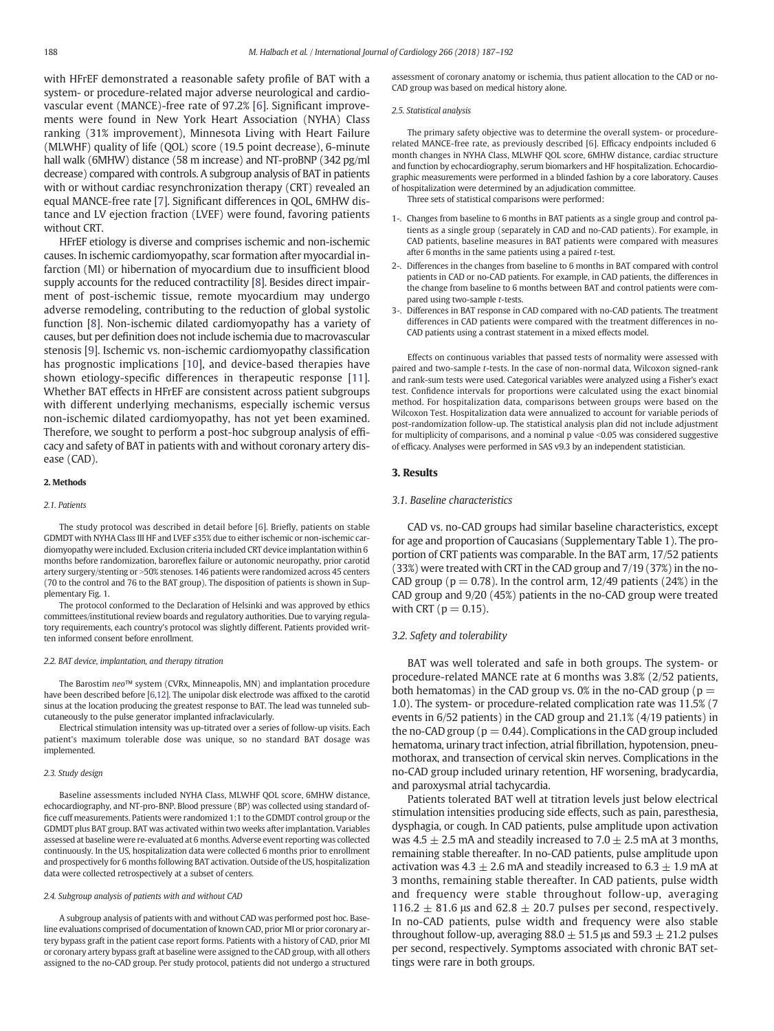with HFrEF demonstrated a reasonable safety profile of BAT with a system- or procedure-related major adverse neurological and cardiovascular event (MANCE)-free rate of 97.2% [\[6](#page-5-0)]. Significant improvements were found in New York Heart Association (NYHA) Class ranking (31% improvement), Minnesota Living with Heart Failure (MLWHF) quality of life (QOL) score (19.5 point decrease), 6-minute hall walk (6MHW) distance (58 m increase) and NT-proBNP (342 pg/ml decrease) compared with controls. A subgroup analysis of BAT in patients with or without cardiac resynchronization therapy (CRT) revealed an equal MANCE-free rate [[7](#page-5-0)]. Significant differences in QOL, 6MHW distance and LV ejection fraction (LVEF) were found, favoring patients without CRT.

HFrEF etiology is diverse and comprises ischemic and non-ischemic causes. In ischemic cardiomyopathy, scar formation after myocardial infarction (MI) or hibernation of myocardium due to insufficient blood supply accounts for the reduced contractility [\[8\]](#page-5-0). Besides direct impairment of post-ischemic tissue, remote myocardium may undergo adverse remodeling, contributing to the reduction of global systolic function [\[8](#page-5-0)]. Non-ischemic dilated cardiomyopathy has a variety of causes, but per definition does not include ischemia due to macrovascular stenosis [[9](#page-5-0)]. Ischemic vs. non-ischemic cardiomyopathy classification has prognostic implications [[10\]](#page-5-0), and device-based therapies have shown etiology-specific differences in therapeutic response [[11](#page-5-0)]. Whether BAT effects in HFrEF are consistent across patient subgroups with different underlying mechanisms, especially ischemic versus non-ischemic dilated cardiomyopathy, has not yet been examined. Therefore, we sought to perform a post-hoc subgroup analysis of efficacy and safety of BAT in patients with and without coronary artery disease (CAD).

#### 2. Methods

### 2.1. Patients

The study protocol was described in detail before [[6\]](#page-5-0). Briefly, patients on stable GDMDT with NYHA Class III HF and LVEF ≤35% due to either ischemic or non-ischemic cardiomyopathy were included. Exclusion criteria included CRT device implantation within 6 months before randomization, baroreflex failure or autonomic neuropathy, prior carotid artery surgery/stenting or >50% stenoses. 146 patients were randomized across 45 centers (70 to the control and 76 to the BAT group). The disposition of patients is shown in Supplementary Fig. 1.

The protocol conformed to the Declaration of Helsinki and was approved by ethics committees/institutional review boards and regulatory authorities. Due to varying regulatory requirements, each country's protocol was slightly different. Patients provided written informed consent before enrollment.

#### 2.2. BAT device, implantation, and therapy titration

The Barostim neo™ system (CVRx, Minneapolis, MN) and implantation procedure have been described before [[6](#page-5-0),[12\]](#page-5-0). The unipolar disk electrode was affixed to the carotid sinus at the location producing the greatest response to BAT. The lead was tunneled subcutaneously to the pulse generator implanted infraclavicularly.

Electrical stimulation intensity was up-titrated over a series of follow-up visits. Each patient's maximum tolerable dose was unique, so no standard BAT dosage was implemented.

#### 2.3. Study design

Baseline assessments included NYHA Class, MLWHF QOL score, 6MHW distance, echocardiography, and NT-pro-BNP. Blood pressure (BP) was collected using standard office cuff measurements. Patients were randomized 1:1 to the GDMDT control group or the GDMDT plus BAT group. BAT was activated within two weeks after implantation. Variables assessed at baseline were re-evaluated at 6 months. Adverse event reporting was collected continuously. In the US, hospitalization data were collected 6 months prior to enrollment and prospectively for 6 months following BAT activation. Outside of the US, hospitalization data were collected retrospectively at a subset of centers.

### 2.4. Subgroup analysis of patients with and without CAD

A subgroup analysis of patients with and without CAD was performed post hoc. Baseline evaluations comprised of documentation of known CAD, prior MI or prior coronary artery bypass graft in the patient case report forms. Patients with a history of CAD, prior MI or coronary artery bypass graft at baseline were assigned to the CAD group, with all others assigned to the no-CAD group. Per study protocol, patients did not undergo a structured assessment of coronary anatomy or ischemia, thus patient allocation to the CAD or no-CAD group was based on medical history alone.

#### 2.5. Statistical analysis

The primary safety objective was to determine the overall system- or procedurerelated MANCE-free rate, as previously described [\[6](#page-5-0)]. Efficacy endpoints included 6 month changes in NYHA Class, MLWHF QOL score, 6MHW distance, cardiac structure and function by echocardiography, serum biomarkers and HF hospitalization. Echocardiographic measurements were performed in a blinded fashion by a core laboratory. Causes of hospitalization were determined by an adjudication committee.

Three sets of statistical comparisons were performed:

- 1-. Changes from baseline to 6 months in BAT patients as a single group and control patients as a single group (separately in CAD and no-CAD patients). For example, in CAD patients, baseline measures in BAT patients were compared with measures after 6 months in the same patients using a paired t-test.
- 2-. Differences in the changes from baseline to 6 months in BAT compared with control patients in CAD or no-CAD patients. For example, in CAD patients, the differences in the change from baseline to 6 months between BAT and control patients were compared using two-sample t-tests.
- 3-. Differences in BAT response in CAD compared with no-CAD patients. The treatment differences in CAD patients were compared with the treatment differences in no-CAD patients using a contrast statement in a mixed effects model.

Effects on continuous variables that passed tests of normality were assessed with paired and two-sample t-tests. In the case of non-normal data, Wilcoxon signed-rank and rank-sum tests were used. Categorical variables were analyzed using a Fisher's exact test. Confidence intervals for proportions were calculated using the exact binomial method. For hospitalization data, comparisons between groups were based on the Wilcoxon Test. Hospitalization data were annualized to account for variable periods of post-randomization follow-up. The statistical analysis plan did not include adjustment for multiplicity of comparisons, and a nominal p value <0.05 was considered suggestive of efficacy. Analyses were performed in SAS v9.3 by an independent statistician.

#### 3. Results

#### 3.1. Baseline characteristics

CAD vs. no-CAD groups had similar baseline characteristics, except for age and proportion of Caucasians (Supplementary Table 1). The proportion of CRT patients was comparable. In the BAT arm, 17/52 patients (33%) were treated with CRT in the CAD group and 7/19 (37%) in the no-CAD group ( $p = 0.78$ ). In the control arm, 12/49 patients (24%) in the CAD group and 9/20 (45%) patients in the no-CAD group were treated with CRT ( $p = 0.15$ ).

# 3.2. Safety and tolerability

BAT was well tolerated and safe in both groups. The system- or procedure-related MANCE rate at 6 months was 3.8% (2/52 patients, both hematomas) in the CAD group vs. 0% in the no-CAD group ( $p =$ 1.0). The system- or procedure-related complication rate was 11.5% (7 events in 6/52 patients) in the CAD group and 21.1% (4/19 patients) in the no-CAD group ( $p = 0.44$ ). Complications in the CAD group included hematoma, urinary tract infection, atrial fibrillation, hypotension, pneumothorax, and transection of cervical skin nerves. Complications in the no-CAD group included urinary retention, HF worsening, bradycardia, and paroxysmal atrial tachycardia.

Patients tolerated BAT well at titration levels just below electrical stimulation intensities producing side effects, such as pain, paresthesia, dysphagia, or cough. In CAD patients, pulse amplitude upon activation was 4.5  $\pm$  2.5 mA and steadily increased to 7.0  $\pm$  2.5 mA at 3 months, remaining stable thereafter. In no-CAD patients, pulse amplitude upon activation was 4.3  $\pm$  2.6 mA and steadily increased to 6.3  $\pm$  1.9 mA at 3 months, remaining stable thereafter. In CAD patients, pulse width and frequency were stable throughout follow-up, averaging 116.2  $\pm$  81.6 μs and 62.8  $\pm$  20.7 pulses per second, respectively. In no-CAD patients, pulse width and frequency were also stable throughout follow-up, averaging  $88.0 \pm 51.5$  µs and  $59.3 \pm 21.2$  pulses per second, respectively. Symptoms associated with chronic BAT settings were rare in both groups.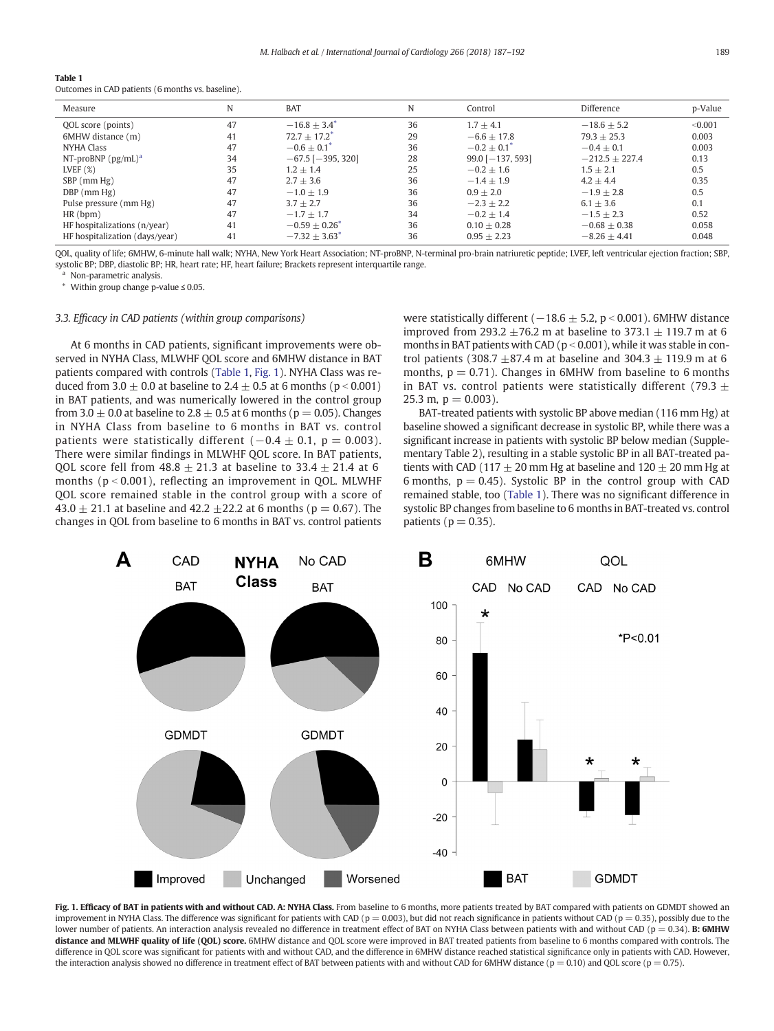<span id="page-2-0"></span>

| Table 1                                           |
|---------------------------------------------------|
| Outcomes in CAD patients (6 months vs. baseline). |

| Measure                        | N  | <b>BAT</b>                    | N  | Control                | Difference       | p-Value |
|--------------------------------|----|-------------------------------|----|------------------------|------------------|---------|
| QOL score (points)             | 47 | $-16.8 + 3.4$ <sup>*</sup>    | 36 | $1.7 + 4.1$            | $-18.6 + 5.2$    | < 0.001 |
| 6MHW distance (m)              | 41 | $72.7 + 17.2^*$               | 29 | $-6.6 + 17.8$          | $79.3 + 25.3$    | 0.003   |
| <b>NYHA Class</b>              | 47 | $-0.6 + 0.1^*$                | 36 | $-0.2 + 0.1^*$         | $-0.4 + 0.1$     | 0.003   |
| NT-proBNP $(pg/mL)^a$          | 34 | $-67.5$ [ $-395, 320$ ]       | 28 | $99.0$ [ $-137, 593$ ] | $-212.5 + 227.4$ | 0.13    |
| LVEF $(%)$                     | 35 | $1.2 \pm 1.4$                 | 25 | $-0.2 + 1.6$           | $1.5 \pm 2.1$    | 0.5     |
| $SBP$ (mm $Hg$ )               | 47 | $2.7 + 3.6$                   | 36 | $-1.4 + 1.9$           | $4.2 + 4.4$      | 0.35    |
| $DBP$ (mm $Hg$ )               | 47 | $-1.0 + 1.9$                  | 36 | $0.9 + 2.0$            | $-1.9 + 2.8$     | 0.5     |
| Pulse pressure (mm Hg)         | 47 | $3.7 + 2.7$                   | 36 | $-2.3 + 2.2$           | $6.1 + 3.6$      | 0.1     |
| HR(bpm)                        | 47 | $-1.7 + 1.7$                  | 34 | $-0.2 + 1.4$           | $-1.5 + 2.3$     | 0.52    |
| HF hospitalizations (n/year)   | 41 | $-0.59 + 0.26^*$              | 36 | $0.10 + 0.28$          | $-0.68 + 0.38$   | 0.058   |
| HF hospitalization (days/year) | 41 | $-7.32 \pm 3.63$ <sup>*</sup> | 36 | $0.95 \pm 2.23$        | $-8.26 + 4.41$   | 0.048   |

QOL, quality of life; 6MHW, 6-minute hall walk; NYHA, New York Heart Association; NT-proBNP, N-terminal pro-brain natriuretic peptide; LVEF, left ventricular ejection fraction; SBP, systolic BP; DBP, diastolic BP; HR, heart rate; HF, heart failure; Brackets represent interquartile range.

<sup>a</sup> Non-parametric analysis.

Within group change p-value  $\leq 0.05$ .

3.3. Efficacy in CAD patients (within group comparisons)

At 6 months in CAD patients, significant improvements were observed in NYHA Class, MLWHF QOL score and 6MHW distance in BAT patients compared with controls (Table 1, Fig. 1). NYHA Class was reduced from  $3.0 \pm 0.0$  at baseline to  $2.4 \pm 0.5$  at 6 months (p < 0.001) in BAT patients, and was numerically lowered in the control group from 3.0  $\pm$  0.0 at baseline to 2.8  $\pm$  0.5 at 6 months (p = 0.05). Changes in NYHA Class from baseline to 6 months in BAT vs. control patients were statistically different  $(-0.4 \pm 0.1, p = 0.003)$ . There were similar findings in MLWHF QOL score. In BAT patients, QOL score fell from  $48.8 \pm 21.3$  at baseline to  $33.4 \pm 21.4$  at 6 months ( $p < 0.001$ ), reflecting an improvement in QOL. MLWHF QOL score remained stable in the control group with a score of 43.0  $\pm$  21.1 at baseline and 42.2  $\pm$ 22.2 at 6 months (p = 0.67). The changes in QOL from baseline to 6 months in BAT vs. control patients

were statistically different ( $-18.6 \pm 5.2$ , p < 0.001). 6MHW distance improved from 293.2  $\pm$ 76.2 m at baseline to 373.1  $\pm$  119.7 m at 6 months in BAT patients with CAD ( $p < 0.001$ ), while it was stable in control patients (308.7  $\pm$ 87.4 m at baseline and 304.3  $\pm$  119.9 m at 6 months,  $p = 0.71$ ). Changes in 6MHW from baseline to 6 months in BAT vs. control patients were statistically different (79.3  $\pm$ 25.3 m,  $p = 0.003$ ).

BAT-treated patients with systolic BP above median (116 mm Hg) at baseline showed a significant decrease in systolic BP, while there was a significant increase in patients with systolic BP below median (Supplementary Table 2), resulting in a stable systolic BP in all BAT-treated patients with CAD (117  $\pm$  20 mm Hg at baseline and 120  $\pm$  20 mm Hg at 6 months,  $p = 0.45$ ). Systolic BP in the control group with CAD remained stable, too (Table 1). There was no significant difference in systolic BP changes from baseline to 6 months in BAT-treated vs. control patients ( $p = 0.35$ ).



Fig. 1. Efficacy of BAT in patients with and without CAD. A: NYHA Class. From baseline to 6 months, more patients treated by BAT compared with patients on GDMDT showed an improvement in NYHA Class. The difference was significant for patients with CAD ( $p = 0.003$ ), but did not reach significance in patients without CAD ( $p = 0.35$ ), possibly due to the lower number of patients. An interaction analysis revealed no difference in treatment effect of BAT on NYHA Class between patients with and without CAD ( $p = 0.34$ ). B: 6MHW distance and MLWHF quality of life (QOL) score. 6MHW distance and QOL score were improved in BAT treated patients from baseline to 6 months compared with controls. The difference in QOL score was significant for patients with and without CAD, and the difference in 6MHW distance reached statistical significance only in patients with CAD. However, the interaction analysis showed no difference in treatment effect of BAT between patients with and without CAD for 6MHW distance ( $p = 0.10$ ) and OOL score ( $p = 0.75$ ).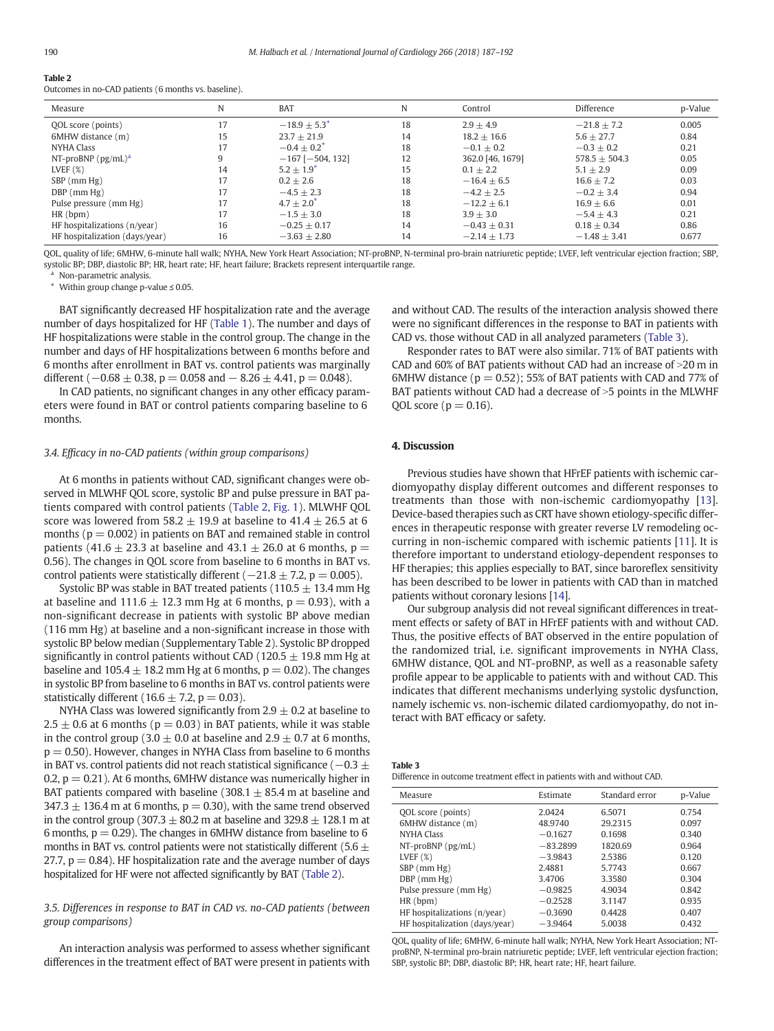| --------                                             |  |  |
|------------------------------------------------------|--|--|
| Outcomes in no-CAD patients (6 months vs. baseline). |  |  |

| Measure                        | N  | <b>BAT</b>                 | N  | Control          | Difference      | p-Value |
|--------------------------------|----|----------------------------|----|------------------|-----------------|---------|
| QOL score (points)             |    | $-18.9 + 5.3$ <sup>*</sup> | 18 | $2.9 + 4.9$      | $-21.8 + 7.2$   | 0.005   |
| 6MHW distance (m)              | 15 | $23.7 + 21.9$              | 14 | $18.2 + 16.6$    | $5.6 + 27.7$    | 0.84    |
| <b>NYHA Class</b>              | 17 | $-0.4 + 0.2^*$             | 18 | $-0.1 + 0.2$     | $-0.3 + 0.2$    | 0.21    |
| NT-proBNP $(pg/mL)^a$          |    | $-167$ [ $-504$ , 132]     | 12 | 362.0 [46, 1679] | $578.5 + 504.3$ | 0.05    |
| LVEF $(\%)$                    | 14 | $5.2 + 1.9^{*}$            | 15 | $0.1 \pm 2.2$    | $5.1 + 2.9$     | 0.09    |
| $SBP$ (mm $Hg$ )               | 17 | $0.2 + 2.6$                | 18 | $-16.4 + 6.5$    | $16.6 + 7.2$    | 0.03    |
| $DBP$ (mm $Hg$ )               | 17 | $-4.5 + 2.3$               | 18 | $-4.2 + 2.5$     | $-0.2 + 3.4$    | 0.94    |
| Pulse pressure (mm Hg)         | 17 | $4.7 + 2.0^*$              | 18 | $-12.2 + 6.1$    | $16.9 + 6.6$    | 0.01    |
| HR(bpm)                        | 17 | $-1.5 + 3.0$               | 18 | $3.9 + 3.0$      | $-5.4 + 4.3$    | 0.21    |
| HF hospitalizations (n/year)   | 16 | $-0.25 + 0.17$             | 14 | $-0.43 + 0.31$   | $0.18 + 0.34$   | 0.86    |
| HF hospitalization (days/year) | 16 | $-3.63 + 2.80$             | 14 | $-2.14 + 1.73$   | $-1.48 + 3.41$  | 0.677   |

QOL, quality of life; 6MHW, 6-minute hall walk; NYHA, New York Heart Association; NT-proBNP, N-terminal pro-brain natriuretic peptide; LVEF, left ventricular ejection fraction; SBP, systolic BP; DBP, diastolic BP; HR, heart rate; HF, heart failure; Brackets represent interquartile range.

<sup>a</sup> Non-parametric analysis.

⁎ Within group change p-value ≤ 0.05.

BAT significantly decreased HF hospitalization rate and the average number of days hospitalized for HF ([Table 1\)](#page-2-0). The number and days of HF hospitalizations were stable in the control group. The change in the number and days of HF hospitalizations between 6 months before and 6 months after enrollment in BAT vs. control patients was marginally different ( $-0.68 \pm 0.38$ , p = 0.058 and  $-8.26 \pm 4.41$ , p = 0.048).

In CAD patients, no significant changes in any other efficacy parameters were found in BAT or control patients comparing baseline to 6 months.

## 3.4. Efficacy in no-CAD patients (within group comparisons)

At 6 months in patients without CAD, significant changes were observed in MLWHF QOL score, systolic BP and pulse pressure in BAT patients compared with control patients (Table 2, [Fig. 1\)](#page-2-0). MLWHF QOL score was lowered from 58.2  $\pm$  19.9 at baseline to 41.4  $\pm$  26.5 at 6 months ( $p = 0.002$ ) in patients on BAT and remained stable in control patients (41.6  $\pm$  23.3 at baseline and 43.1  $\pm$  26.0 at 6 months, p = 0.56). The changes in QOL score from baseline to 6 months in BAT vs. control patients were statistically different ( $-21.8 \pm 7.2$ , p = 0.005).

Systolic BP was stable in BAT treated patients ( $110.5 \pm 13.4$  mm Hg at baseline and  $111.6 \pm 12.3$  mm Hg at 6 months, p = 0.93), with a non-significant decrease in patients with systolic BP above median (116 mm Hg) at baseline and a non-significant increase in those with systolic BP below median (Supplementary Table 2). Systolic BP dropped significantly in control patients without CAD (120.5  $\pm$  19.8 mm Hg at baseline and  $105.4 \pm 18.2$  mm Hg at 6 months,  $p = 0.02$ ). The changes in systolic BP from baseline to 6 months in BAT vs. control patients were statistically different (16.6  $\pm$  7.2, p = 0.03).

NYHA Class was lowered significantly from  $2.9 \pm 0.2$  at baseline to  $2.5 \pm 0.6$  at 6 months ( $p = 0.03$ ) in BAT patients, while it was stable in the control group (3.0  $\pm$  0.0 at baseline and 2.9  $\pm$  0.7 at 6 months,  $p = 0.50$ ). However, changes in NYHA Class from baseline to 6 months in BAT vs. control patients did not reach statistical significance ( $-0.3 \pm 1$ 0.2,  $p = 0.21$ ). At 6 months, 6MHW distance was numerically higher in BAT patients compared with baseline (308.1  $\pm$  85.4 m at baseline and  $347.3 \pm 136.4$  m at 6 months, p = 0.30), with the same trend observed in the control group (307.3  $\pm$  80.2 m at baseline and 329.8  $\pm$  128.1 m at 6 months,  $p = 0.29$ ). The changes in 6MHW distance from baseline to 6 months in BAT vs. control patients were not statistically different (5.6  $\pm$ 27.7,  $p = 0.84$ ). HF hospitalization rate and the average number of days hospitalized for HF were not affected significantly by BAT (Table 2).

3.5. Differences in response to BAT in CAD vs. no-CAD patients (between group comparisons)

An interaction analysis was performed to assess whether significant differences in the treatment effect of BAT were present in patients with and without CAD. The results of the interaction analysis showed there were no significant differences in the response to BAT in patients with CAD vs. those without CAD in all analyzed parameters (Table 3).

Responder rates to BAT were also similar. 71% of BAT patients with CAD and  $60\%$  of BAT patients without CAD had an increase of  $>20$  m in 6MHW distance ( $p = 0.52$ ); 55% of BAT patients with CAD and 77% of BAT patients without CAD had a decrease of  $>5$  points in the MLWHF OOL score ( $p = 0.16$ ).

#### 4. Discussion

Previous studies have shown that HFrEF patients with ischemic cardiomyopathy display different outcomes and different responses to treatments than those with non-ischemic cardiomyopathy [[13](#page-5-0)]. Device-based therapies such as CRT have shown etiology-specific differences in therapeutic response with greater reverse LV remodeling occurring in non-ischemic compared with ischemic patients [\[11\]](#page-5-0). It is therefore important to understand etiology-dependent responses to HF therapies; this applies especially to BAT, since baroreflex sensitivity has been described to be lower in patients with CAD than in matched patients without coronary lesions [[14](#page-5-0)].

Our subgroup analysis did not reveal significant differences in treatment effects or safety of BAT in HFrEF patients with and without CAD. Thus, the positive effects of BAT observed in the entire population of the randomized trial, i.e. significant improvements in NYHA Class, 6MHW distance, QOL and NT-proBNP, as well as a reasonable safety profile appear to be applicable to patients with and without CAD. This indicates that different mechanisms underlying systolic dysfunction, namely ischemic vs. non-ischemic dilated cardiomyopathy, do not interact with BAT efficacy or safety.

Difference in outcome treatment effect in patients with and without CAD.

| Measure                        | Estimate   | Standard error | p-Value |
|--------------------------------|------------|----------------|---------|
| QOL score (points)             | 2.0424     | 6.5071         | 0.754   |
| 6MHW distance (m)              | 48.9740    | 29.2315        | 0.097   |
| <b>NYHA Class</b>              | $-0.1627$  | 0.1698         | 0.340   |
| $NT-proBNP$ ( $pg/mL$ )        | $-83.2899$ | 1820.69        | 0.964   |
| LVEF $(X)$                     | $-3.9843$  | 2.5386         | 0.120   |
| $SBP$ (mm $Hg$ )               | 2.4881     | 5.7743         | 0.667   |
| $DBP$ (mm $Hg$ )               | 3.4706     | 3.3580         | 0.304   |
| Pulse pressure (mm Hg)         | $-0.9825$  | 4.9034         | 0.842   |
| HR(bpm)                        | $-0.2528$  | 3.1147         | 0.935   |
| HF hospitalizations (n/year)   | $-0.3690$  | 0.4428         | 0.407   |
| HF hospitalization (days/year) | $-3.9464$  | 5.0038         | 0.432   |

QOL, quality of life; 6MHW, 6-minute hall walk; NYHA, New York Heart Association; NTproBNP, N-terminal pro-brain natriuretic peptide; LVEF, left ventricular ejection fraction; SBP, systolic BP; DBP, diastolic BP; HR, heart rate; HF, heart failure.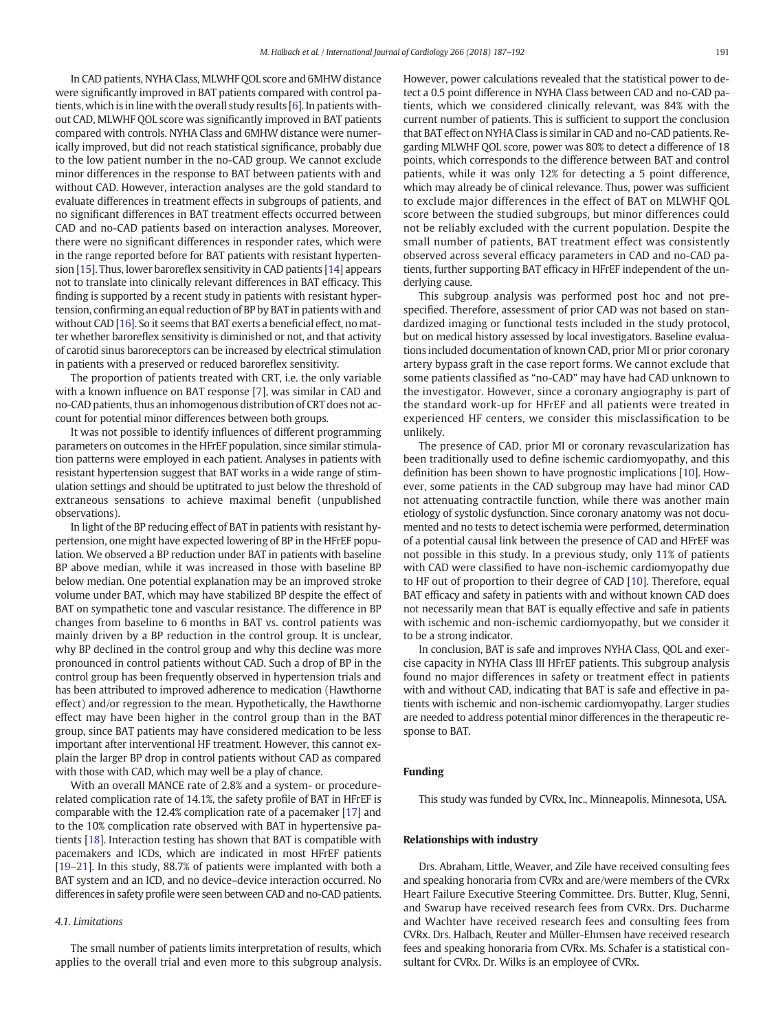In CAD patients, NYHA Class, MLWHF QOL score and 6MHW distance were significantly improved in BAT patients compared with control patients, which is in line with the overall study results [\[6](#page-5-0)]. In patients without CAD, MLWHF QOL score was significantly improved in BAT patients compared with controls. NYHA Class and 6MHW distance were numerically improved, but did not reach statistical significance, probably due to the low patient number in the no-CAD group. We cannot exclude minor differences in the response to BAT between patients with and without CAD. However, interaction analyses are the gold standard to evaluate differences in treatment effects in subgroups of patients, and no significant differences in BAT treatment effects occurred between CAD and no-CAD patients based on interaction analyses. Moreover, there were no significant differences in responder rates, which were in the range reported before for BAT patients with resistant hypertension [[15](#page-5-0)]. Thus, lower baroreflex sensitivity in CAD patients [[14](#page-5-0)] appears not to translate into clinically relevant differences in BAT efficacy. This finding is supported by a recent study in patients with resistant hypertension, confirming an equal reduction of BP by BAT in patients with and without CAD [[16\]](#page-5-0). So it seems that BAT exerts a beneficial effect, no matter whether baroreflex sensitivity is diminished or not, and that activity of carotid sinus baroreceptors can be increased by electrical stimulation in patients with a preserved or reduced baroreflex sensitivity.

The proportion of patients treated with CRT, i.e. the only variable with a known influence on BAT response [\[7\]](#page-5-0), was similar in CAD and no-CAD patients, thus an inhomogenous distribution of CRT does not account for potential minor differences between both groups.

It was not possible to identify influences of different programming parameters on outcomes in the HFrEF population, since similar stimulation patterns were employed in each patient. Analyses in patients with resistant hypertension suggest that BAT works in a wide range of stimulation settings and should be uptitrated to just below the threshold of extraneous sensations to achieve maximal benefit (unpublished observations).

In light of the BP reducing effect of BAT in patients with resistant hypertension, one might have expected lowering of BP in the HFrEF population. We observed a BP reduction under BAT in patients with baseline BP above median, while it was increased in those with baseline BP below median. One potential explanation may be an improved stroke volume under BAT, which may have stabilized BP despite the effect of BAT on sympathetic tone and vascular resistance. The difference in BP changes from baseline to 6 months in BAT vs. control patients was mainly driven by a BP reduction in the control group. It is unclear, why BP declined in the control group and why this decline was more pronounced in control patients without CAD. Such a drop of BP in the control group has been frequently observed in hypertension trials and has been attributed to improved adherence to medication (Hawthorne effect) and/or regression to the mean. Hypothetically, the Hawthorne effect may have been higher in the control group than in the BAT group, since BAT patients may have considered medication to be less important after interventional HF treatment. However, this cannot explain the larger BP drop in control patients without CAD as compared with those with CAD, which may well be a play of chance.

With an overall MANCE rate of 2.8% and a system- or procedurerelated complication rate of 14.1%, the safety profile of BAT in HFrEF is comparable with the 12.4% complication rate of a pacemaker [\[17](#page-5-0)] and to the 10% complication rate observed with BAT in hypertensive patients [[18\]](#page-5-0). Interaction testing has shown that BAT is compatible with pacemakers and ICDs, which are indicated in most HFrEF patients [\[19](#page-5-0)–21]. In this study, 88.7% of patients were implanted with both a BAT system and an ICD, and no device–device interaction occurred. No differences in safety profile were seen between CAD and no-CAD patients.

# 4.1. Limitations

The small number of patients limits interpretation of results, which applies to the overall trial and even more to this subgroup analysis. However, power calculations revealed that the statistical power to detect a 0.5 point difference in NYHA Class between CAD and no-CAD patients, which we considered clinically relevant, was 84% with the current number of patients. This is sufficient to support the conclusion that BAT effect on NYHA Class is similar in CAD and no-CAD patients. Regarding MLWHF QOL score, power was 80% to detect a difference of 18 points, which corresponds to the difference between BAT and control patients, while it was only 12% for detecting a 5 point difference, which may already be of clinical relevance. Thus, power was sufficient to exclude major differences in the effect of BAT on MLWHF QOL score between the studied subgroups, but minor differences could not be reliably excluded with the current population. Despite the small number of patients, BAT treatment effect was consistently observed across several efficacy parameters in CAD and no-CAD patients, further supporting BAT efficacy in HFrEF independent of the underlying cause.

This subgroup analysis was performed post hoc and not prespecified. Therefore, assessment of prior CAD was not based on standardized imaging or functional tests included in the study protocol, but on medical history assessed by local investigators. Baseline evaluations included documentation of known CAD, prior MI or prior coronary artery bypass graft in the case report forms. We cannot exclude that some patients classified as "no-CAD" may have had CAD unknown to the investigator. However, since a coronary angiography is part of the standard work-up for HFrEF and all patients were treated in experienced HF centers, we consider this misclassification to be unlikely.

The presence of CAD, prior MI or coronary revascularization has been traditionally used to define ischemic cardiomyopathy, and this definition has been shown to have prognostic implications [[10\]](#page-5-0). However, some patients in the CAD subgroup may have had minor CAD not attenuating contractile function, while there was another main etiology of systolic dysfunction. Since coronary anatomy was not documented and no tests to detect ischemia were performed, determination of a potential causal link between the presence of CAD and HFrEF was not possible in this study. In a previous study, only 11% of patients with CAD were classified to have non-ischemic cardiomyopathy due to HF out of proportion to their degree of CAD [[10\]](#page-5-0). Therefore, equal BAT efficacy and safety in patients with and without known CAD does not necessarily mean that BAT is equally effective and safe in patients with ischemic and non-ischemic cardiomyopathy, but we consider it to be a strong indicator.

In conclusion, BAT is safe and improves NYHA Class, QOL and exercise capacity in NYHA Class III HFrEF patients. This subgroup analysis found no major differences in safety or treatment effect in patients with and without CAD, indicating that BAT is safe and effective in patients with ischemic and non-ischemic cardiomyopathy. Larger studies are needed to address potential minor differences in the therapeutic response to BAT.

# Funding

This study was funded by CVRx, Inc., Minneapolis, Minnesota, USA.

# Relationships with industry

Drs. Abraham, Little, Weaver, and Zile have received consulting fees and speaking honoraria from CVRx and are/were members of the CVRx Heart Failure Executive Steering Committee. Drs. Butter, Klug, Senni, and Swarup have received research fees from CVRx. Drs. Ducharme and Wachter have received research fees and consulting fees from CVRx. Drs. Halbach, Reuter and Müller-Ehmsen have received research fees and speaking honoraria from CVRx. Ms. Schafer is a statistical consultant for CVRx. Dr. Wilks is an employee of CVRx.